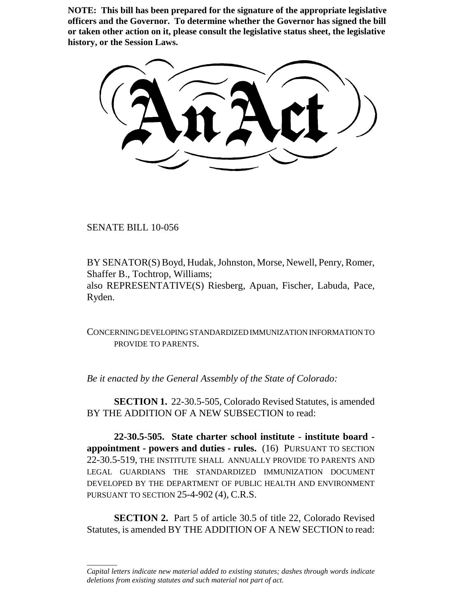**NOTE: This bill has been prepared for the signature of the appropriate legislative officers and the Governor. To determine whether the Governor has signed the bill or taken other action on it, please consult the legislative status sheet, the legislative history, or the Session Laws.**

SENATE BILL 10-056

\_\_\_\_\_\_\_\_

BY SENATOR(S) Boyd, Hudak, Johnston, Morse, Newell, Penry, Romer, Shaffer B., Tochtrop, Williams; also REPRESENTATIVE(S) Riesberg, Apuan, Fischer, Labuda, Pace, Ryden.

CONCERNING DEVELOPING STANDARDIZED IMMUNIZATION INFORMATION TO PROVIDE TO PARENTS.

*Be it enacted by the General Assembly of the State of Colorado:*

**SECTION 1.** 22-30.5-505, Colorado Revised Statutes, is amended BY THE ADDITION OF A NEW SUBSECTION to read:

**22-30.5-505. State charter school institute - institute board appointment - powers and duties - rules.** (16) PURSUANT TO SECTION 22-30.5-519, THE INSTITUTE SHALL ANNUALLY PROVIDE TO PARENTS AND LEGAL GUARDIANS THE STANDARDIZED IMMUNIZATION DOCUMENT DEVELOPED BY THE DEPARTMENT OF PUBLIC HEALTH AND ENVIRONMENT PURSUANT TO SECTION 25-4-902 (4), C.R.S.

**SECTION 2.** Part 5 of article 30.5 of title 22, Colorado Revised Statutes, is amended BY THE ADDITION OF A NEW SECTION to read:

*Capital letters indicate new material added to existing statutes; dashes through words indicate deletions from existing statutes and such material not part of act.*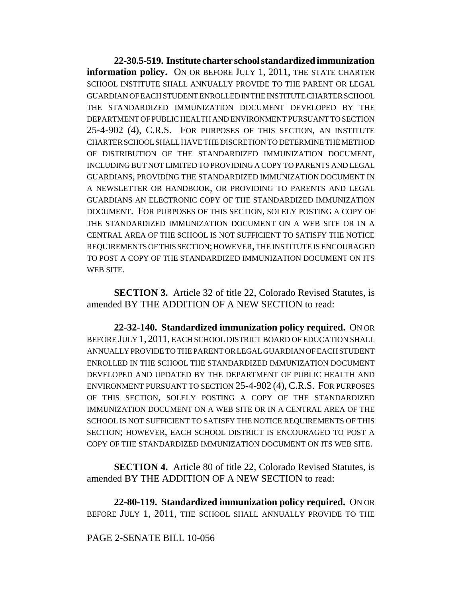**22-30.5-519. Institute charter school standardized immunization information policy.** ON OR BEFORE JULY 1, 2011, THE STATE CHARTER SCHOOL INSTITUTE SHALL ANNUALLY PROVIDE TO THE PARENT OR LEGAL GUARDIAN OF EACH STUDENT ENROLLED IN THE INSTITUTE CHARTER SCHOOL THE STANDARDIZED IMMUNIZATION DOCUMENT DEVELOPED BY THE DEPARTMENT OF PUBLIC HEALTH AND ENVIRONMENT PURSUANT TO SECTION 25-4-902 (4), C.R.S. FOR PURPOSES OF THIS SECTION, AN INSTITUTE CHARTER SCHOOL SHALL HAVE THE DISCRETION TO DETERMINE THE METHOD OF DISTRIBUTION OF THE STANDARDIZED IMMUNIZATION DOCUMENT, INCLUDING BUT NOT LIMITED TO PROVIDING A COPY TO PARENTS AND LEGAL GUARDIANS, PROVIDING THE STANDARDIZED IMMUNIZATION DOCUMENT IN A NEWSLETTER OR HANDBOOK, OR PROVIDING TO PARENTS AND LEGAL GUARDIANS AN ELECTRONIC COPY OF THE STANDARDIZED IMMUNIZATION DOCUMENT. FOR PURPOSES OF THIS SECTION, SOLELY POSTING A COPY OF THE STANDARDIZED IMMUNIZATION DOCUMENT ON A WEB SITE OR IN A CENTRAL AREA OF THE SCHOOL IS NOT SUFFICIENT TO SATISFY THE NOTICE REQUIREMENTS OF THIS SECTION; HOWEVER, THE INSTITUTE IS ENCOURAGED TO POST A COPY OF THE STANDARDIZED IMMUNIZATION DOCUMENT ON ITS WEB SITE.

**SECTION 3.** Article 32 of title 22, Colorado Revised Statutes, is amended BY THE ADDITION OF A NEW SECTION to read:

**22-32-140. Standardized immunization policy required.** ON OR BEFORE JULY 1, 2011, EACH SCHOOL DISTRICT BOARD OF EDUCATION SHALL ANNUALLY PROVIDE TO THE PARENT OR LEGAL GUARDIAN OF EACH STUDENT ENROLLED IN THE SCHOOL THE STANDARDIZED IMMUNIZATION DOCUMENT DEVELOPED AND UPDATED BY THE DEPARTMENT OF PUBLIC HEALTH AND ENVIRONMENT PURSUANT TO SECTION 25-4-902 (4), C.R.S. FOR PURPOSES OF THIS SECTION, SOLELY POSTING A COPY OF THE STANDARDIZED IMMUNIZATION DOCUMENT ON A WEB SITE OR IN A CENTRAL AREA OF THE SCHOOL IS NOT SUFFICIENT TO SATISFY THE NOTICE REQUIREMENTS OF THIS SECTION; HOWEVER, EACH SCHOOL DISTRICT IS ENCOURAGED TO POST A COPY OF THE STANDARDIZED IMMUNIZATION DOCUMENT ON ITS WEB SITE.

**SECTION 4.** Article 80 of title 22, Colorado Revised Statutes, is amended BY THE ADDITION OF A NEW SECTION to read:

**22-80-119. Standardized immunization policy required.** ON OR BEFORE JULY 1, 2011, THE SCHOOL SHALL ANNUALLY PROVIDE TO THE

## PAGE 2-SENATE BILL 10-056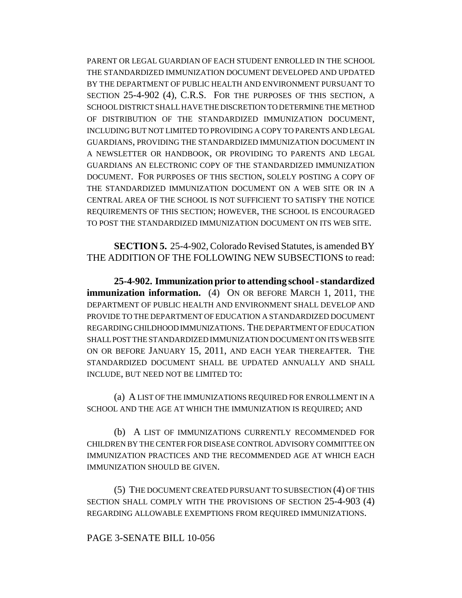PARENT OR LEGAL GUARDIAN OF EACH STUDENT ENROLLED IN THE SCHOOL THE STANDARDIZED IMMUNIZATION DOCUMENT DEVELOPED AND UPDATED BY THE DEPARTMENT OF PUBLIC HEALTH AND ENVIRONMENT PURSUANT TO SECTION 25-4-902 (4), C.R.S. FOR THE PURPOSES OF THIS SECTION, A SCHOOL DISTRICT SHALL HAVE THE DISCRETION TO DETERMINE THE METHOD OF DISTRIBUTION OF THE STANDARDIZED IMMUNIZATION DOCUMENT, INCLUDING BUT NOT LIMITED TO PROVIDING A COPY TO PARENTS AND LEGAL GUARDIANS, PROVIDING THE STANDARDIZED IMMUNIZATION DOCUMENT IN A NEWSLETTER OR HANDBOOK, OR PROVIDING TO PARENTS AND LEGAL GUARDIANS AN ELECTRONIC COPY OF THE STANDARDIZED IMMUNIZATION DOCUMENT. FOR PURPOSES OF THIS SECTION, SOLELY POSTING A COPY OF THE STANDARDIZED IMMUNIZATION DOCUMENT ON A WEB SITE OR IN A CENTRAL AREA OF THE SCHOOL IS NOT SUFFICIENT TO SATISFY THE NOTICE REQUIREMENTS OF THIS SECTION; HOWEVER, THE SCHOOL IS ENCOURAGED TO POST THE STANDARDIZED IMMUNIZATION DOCUMENT ON ITS WEB SITE.

**SECTION 5.** 25-4-902, Colorado Revised Statutes, is amended BY THE ADDITION OF THE FOLLOWING NEW SUBSECTIONS to read:

**25-4-902. Immunization prior to attending school - standardized immunization information.** (4) ON OR BEFORE MARCH 1, 2011, THE DEPARTMENT OF PUBLIC HEALTH AND ENVIRONMENT SHALL DEVELOP AND PROVIDE TO THE DEPARTMENT OF EDUCATION A STANDARDIZED DOCUMENT REGARDING CHILDHOOD IMMUNIZATIONS. THE DEPARTMENT OF EDUCATION SHALL POST THE STANDARDIZED IMMUNIZATION DOCUMENT ON ITS WEB SITE ON OR BEFORE JANUARY 15, 2011, AND EACH YEAR THEREAFTER. THE STANDARDIZED DOCUMENT SHALL BE UPDATED ANNUALLY AND SHALL INCLUDE, BUT NEED NOT BE LIMITED TO:

(a) A LIST OF THE IMMUNIZATIONS REQUIRED FOR ENROLLMENT IN A SCHOOL AND THE AGE AT WHICH THE IMMUNIZATION IS REQUIRED; AND

(b) A LIST OF IMMUNIZATIONS CURRENTLY RECOMMENDED FOR CHILDREN BY THE CENTER FOR DISEASE CONTROL ADVISORY COMMITTEE ON IMMUNIZATION PRACTICES AND THE RECOMMENDED AGE AT WHICH EACH IMMUNIZATION SHOULD BE GIVEN.

(5) THE DOCUMENT CREATED PURSUANT TO SUBSECTION (4) OF THIS SECTION SHALL COMPLY WITH THE PROVISIONS OF SECTION 25-4-903 (4) REGARDING ALLOWABLE EXEMPTIONS FROM REQUIRED IMMUNIZATIONS.

## PAGE 3-SENATE BILL 10-056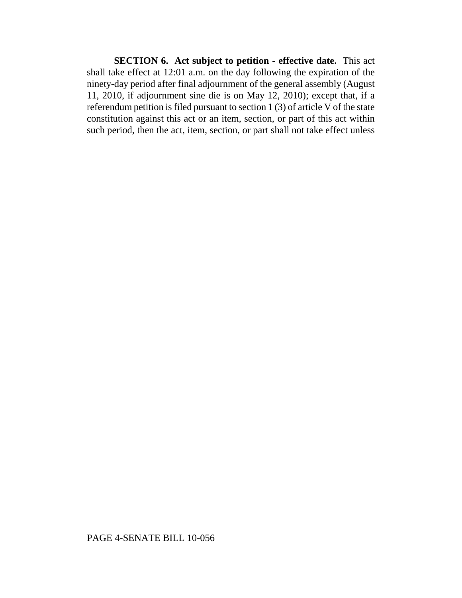**SECTION 6. Act subject to petition - effective date.** This act shall take effect at 12:01 a.m. on the day following the expiration of the ninety-day period after final adjournment of the general assembly (August 11, 2010, if adjournment sine die is on May 12, 2010); except that, if a referendum petition is filed pursuant to section 1 (3) of article V of the state constitution against this act or an item, section, or part of this act within such period, then the act, item, section, or part shall not take effect unless